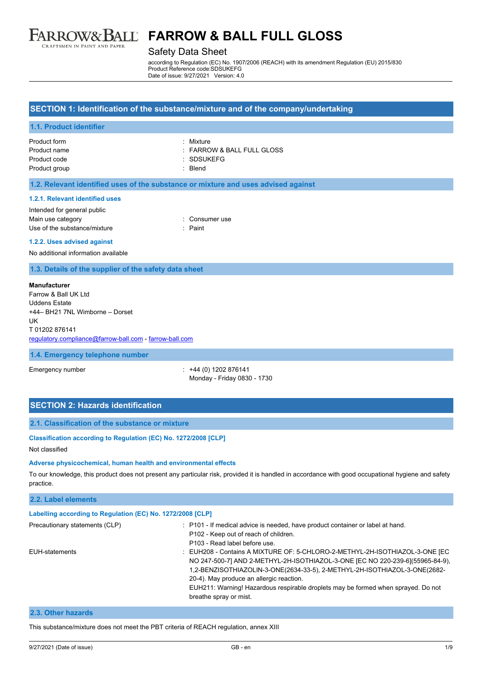

## Safety Data Sheet

according to Regulation (EC) No. 1907/2006 (REACH) with its amendment Regulation (EU) 2015/830 Product Reference code:SDSUKEFG Date of issue: 9/27/2021 Version: 4.0

## **SECTION 1: Identification of the substance/mixture and of the company/undertaking**

### **1.1. Product identifier**

## Product form : Mixture

Product name  $\qquad \qquad : FARROW & BALL FULL GLOSS$ Product code : SDSUKEFG

Product group **in the case of the contract of the case of the contract of the contract of the contract of the contract of the contract of the contract of the contract of the contract of the contract of the contract of the** 

### **1.2. Relevant identified uses of the substance or mixture and uses advised against**

### **1.2.1. Relevant identified uses**

Intended for general public Main use category **Example 20** and 20 and 20 and 20 and 20 and 20 and 20 and 20 and 20 and 20 and 20 and 20 and 20 and 20 and 20 and 20 and 20 and 20 and 20 and 20 and 20 and 20 and 20 and 20 and 20 and 20 and 20 and 20 an Use of the substance/mixture in the substance of the substance of the substance of the substance of the substance of the substance of the substance of the substance of the substance of the substance of the substance/mixtur

### **1.2.2. Uses advised against**

No additional information available

## **1.3. Details of the supplier of the safety data sheet**

### **Manufacturer**

Farrow & Ball UK Ltd Uddens Estate +44– BH21 7NL Wimborne – Dorset UK T 01202 876141 [regulatory.compliance@farrow-ball.com](mailto:regulatory.compliance@farrow-ball.com) - [farrow-ball.com](http://farrow-ball.com/)

### **1.4. Emergency telephone number**

Emergency number : +44 (0) 1202 876141 Monday - Friday 0830 - 1730

# **SECTION 2: Hazards identification**

## **2.1. Classification of the substance or mixture**

### **Classification according to Regulation (EC) No. 1272/2008 [CLP]**

Not classified

## **Adverse physicochemical, human health and environmental effects**

To our knowledge, this product does not present any particular risk, provided it is handled in accordance with good occupational hygiene and safety practice.

# **2.2. Label elements Labelling according to Regulation (EC) No. 1272/2008 [CLP]** Precautionary statements (CLP) : P101 - If medical advice is needed, have product container or label at hand. P102 - Keep out of reach of children.

|                | P102 - Keep out of reach of children.                                             |
|----------------|-----------------------------------------------------------------------------------|
|                | P103 - Read label before use.                                                     |
| EUH-statements | : EUH208 - Contains A MIXTURE OF: 5-CHLORO-2-METHYL-2H-ISOTHIAZOL-3-ONE [EC       |
|                | NO 247-500-71 AND 2-METHYL-2H-ISOTHIAZOL-3-ONE [EC NO 220-239-6](55965-84-9).     |
|                | 1,2-BENZISOTHIAZOLIN-3-ONE(2634-33-5), 2-METHYL-2H-ISOTHIAZOL-3-ONE(2682-         |
|                | 20-4). May produce an allergic reaction.                                          |
|                | EUH211: Warning! Hazardous respirable droplets may be formed when sprayed. Do not |
|                | breathe spray or mist.                                                            |
|                |                                                                                   |

## **2.3. Other hazards**

This substance/mixture does not meet the PBT criteria of REACH regulation, annex XIII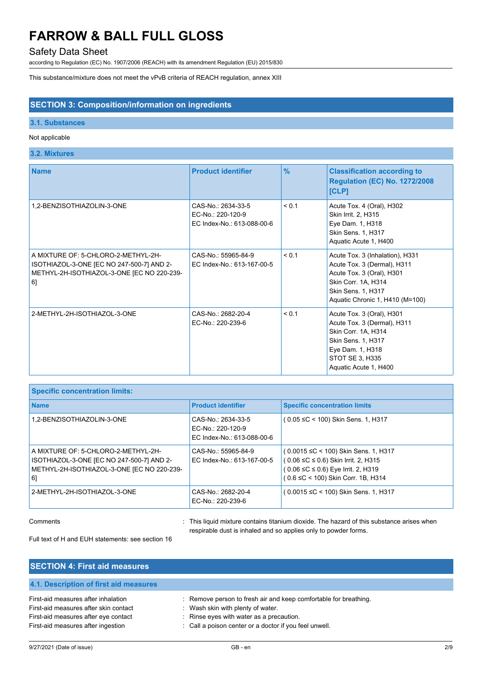# Safety Data Sheet

according to Regulation (EC) No. 1907/2006 (REACH) with its amendment Regulation (EU) 2015/830

This substance/mixture does not meet the vPvB criteria of REACH regulation, annex XIII

## **SECTION 3: Composition/information on ingredients**

## **3.1. Substances**

## Not applicable

# **3.2. Mixtures**

| <b>Name</b>                                                                                                                         | <b>Product identifier</b>                                             | $\frac{9}{6}$ | <b>Classification according to</b><br><b>Regulation (EC) No. 1272/2008</b><br>[CLP]                                                                                          |
|-------------------------------------------------------------------------------------------------------------------------------------|-----------------------------------------------------------------------|---------------|------------------------------------------------------------------------------------------------------------------------------------------------------------------------------|
| 1,2-BENZISOTHIAZOLIN-3-ONE                                                                                                          | CAS-No.: 2634-33-5<br>EC-No.: 220-120-9<br>EC Index-No.: 613-088-00-6 | < 0.1         | Acute Tox. 4 (Oral), H302<br>Skin Irrit. 2, H315<br>Eye Dam. 1, H318<br>Skin Sens. 1, H317<br>Aquatic Acute 1, H400                                                          |
| A MIXTURE OF: 5-CHLORO-2-METHYL-2H-<br>ISOTHIAZOL-3-ONE [EC NO 247-500-7] AND 2-<br>METHYL-2H-ISOTHIAZOL-3-ONE [EC NO 220-239-<br>6 | CAS-No.: 55965-84-9<br>EC Index-No.: 613-167-00-5                     | < 0.1         | Acute Tox. 3 (Inhalation), H331<br>Acute Tox. 3 (Dermal), H311<br>Acute Tox. 3 (Oral), H301<br>Skin Corr. 1A, H314<br>Skin Sens. 1, H317<br>Aquatic Chronic 1, H410 (M=100)  |
| 2-METHYL-2H-ISOTHIAZOL-3-ONE                                                                                                        | CAS-No.: 2682-20-4<br>EC-No.: 220-239-6                               | < 0.1         | Acute Tox. 3 (Oral), H301<br>Acute Tox. 3 (Dermal), H311<br>Skin Corr. 1A, H314<br><b>Skin Sens. 1, H317</b><br>Eye Dam. 1, H318<br>STOT SE 3, H335<br>Aquatic Acute 1, H400 |

| <b>Specific concentration limits:</b>                                                                                                |                                                                       |                                                                                                                                                           |
|--------------------------------------------------------------------------------------------------------------------------------------|-----------------------------------------------------------------------|-----------------------------------------------------------------------------------------------------------------------------------------------------------|
| <b>Name</b>                                                                                                                          | <b>Product identifier</b>                                             | <b>Specific concentration limits</b>                                                                                                                      |
| 1.2-BENZISOTHIAZOLIN-3-ONE                                                                                                           | CAS-No.: 2634-33-5<br>EC-No.: 220-120-9<br>EC Index-No.: 613-088-00-6 | ( 0.05 ≤C < 100) Skin Sens. 1, H317                                                                                                                       |
| A MIXTURE OF: 5-CHLORO-2-METHYL-2H-<br>ISOTHIAZOL-3-ONE [EC NO 247-500-7] AND 2-<br>METHYL-2H-ISOTHIAZOL-3-ONE JEC NO 220-239-<br>6] | CAS-No.: 55965-84-9<br>EC Index-No.: 613-167-00-5                     | (0.0015 ≤C < 100) Skin Sens. 1, H317<br>(0.06 ≤C ≤ 0.6) Skin Irrit. 2, H315<br>( 0.06 ≤C ≤ 0.6) Eye Irrit. 2, H319<br>( 0.6 ≤C < 100) Skin Corr. 1B, H314 |
| 2-METHYL-2H-ISOTHIAZOL-3-ONE                                                                                                         | CAS-No.: 2682-20-4<br>EC-No.: 220-239-6                               | ( 0.0015 ≤C < 100) Skin Sens. 1, H317                                                                                                                     |

Comments **in the contains of the liquid mixture contains titanium dioxide.** The hazard of this substance arises when respirable dust is inhaled and so applies only to powder forms.

Full text of H and EUH statements: see section 16

| <b>SECTION 4: First aid measures</b>                                                                                                                       |                                                                                                                                                                                                             |
|------------------------------------------------------------------------------------------------------------------------------------------------------------|-------------------------------------------------------------------------------------------------------------------------------------------------------------------------------------------------------------|
| 4.1. Description of first aid measures                                                                                                                     |                                                                                                                                                                                                             |
| First-aid measures after inhalation<br>First-aid measures after skin contact<br>First-aid measures after eye contact<br>First-aid measures after ingestion | : Remove person to fresh air and keep comfortable for breathing.<br>: Wash skin with plenty of water.<br>: Rinse eyes with water as a precaution.<br>: Call a poison center or a doctor if you feel unwell. |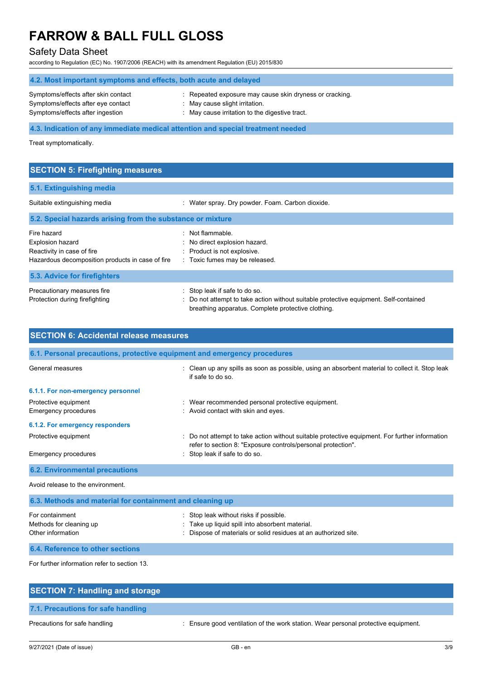# Safety Data Sheet

according to Regulation (EC) No. 1907/2006 (REACH) with its amendment Regulation (EU) 2015/830

| 4.2. Most important symptoms and effects, both acute and delayed                                              |                                                                                                                                           |  |
|---------------------------------------------------------------------------------------------------------------|-------------------------------------------------------------------------------------------------------------------------------------------|--|
| Symptoms/effects after skin contact<br>Symptoms/effects after eye contact<br>Symptoms/effects after ingestion | : Repeated exposure may cause skin dryness or cracking.<br>May cause slight irritation.<br>: May cause irritation to the digestive tract. |  |
| 4.3. Indication of any immediate medical attention and special treatment needed                               |                                                                                                                                           |  |

Treat symptomatically.

| <b>SECTION 5: Firefighting measures</b>                                                                                  |                                                                                                                                                                              |
|--------------------------------------------------------------------------------------------------------------------------|------------------------------------------------------------------------------------------------------------------------------------------------------------------------------|
| 5.1. Extinguishing media                                                                                                 |                                                                                                                                                                              |
| Suitable extinguishing media                                                                                             | Water spray. Dry powder. Foam. Carbon dioxide.                                                                                                                               |
| 5.2. Special hazards arising from the substance or mixture                                                               |                                                                                                                                                                              |
| Fire hazard<br><b>Explosion hazard</b><br>Reactivity in case of fire<br>Hazardous decomposition products in case of fire | : Not flammable.<br>: No direct explosion hazard.<br>: Product is not explosive.<br>: Toxic fumes may be released.                                                           |
| 5.3. Advice for firefighters                                                                                             |                                                                                                                                                                              |
| Precautionary measures fire<br>Protection during firefighting                                                            | : Stop leak if safe to do so.<br>: Do not attempt to take action without suitable protective equipment. Self-contained<br>breathing apparatus. Complete protective clothing. |

| <b>SECTION 6: Accidental release measures</b>                            |                                                                                                                                                              |
|--------------------------------------------------------------------------|--------------------------------------------------------------------------------------------------------------------------------------------------------------|
| 6.1. Personal precautions, protective equipment and emergency procedures |                                                                                                                                                              |
| General measures                                                         | Clean up any spills as soon as possible, using an absorbent material to collect it. Stop leak<br>if safe to do so                                            |
| 6.1.1. For non-emergency personnel                                       |                                                                                                                                                              |
| Protective equipment<br>Emergency procedures                             | : Wear recommended personal protective equipment.<br>: Avoid contact with skin and eyes.                                                                     |
| 6.1.2. For emergency responders                                          |                                                                                                                                                              |
| Protective equipment                                                     | Do not attempt to take action without suitable protective equipment. For further information<br>refer to section 8: "Exposure controls/personal protection". |
| Emergency procedures                                                     | Stop leak if safe to do so.                                                                                                                                  |
| <b>6.2. Environmental precautions</b>                                    |                                                                                                                                                              |
| Avoid release to the environment.                                        |                                                                                                                                                              |
| 6.3. Methods and material for containment and cleaning up                |                                                                                                                                                              |
| For containment<br>Methods for cleaning up<br>Other information          | Stop leak without risks if possible.<br>Take up liquid spill into absorbent material.<br>Dispose of materials or solid residues at an authorized site.       |
| 6.4. Reference to other sections                                         |                                                                                                                                                              |

For further information refer to section 13.

| <b>SECTION 7: Handling and storage</b> |                                                                                    |
|----------------------------------------|------------------------------------------------------------------------------------|
| 7.1. Precautions for safe handling     |                                                                                    |
| Precautions for safe handling          | : Ensure good ventilation of the work station. Wear personal protective equipment. |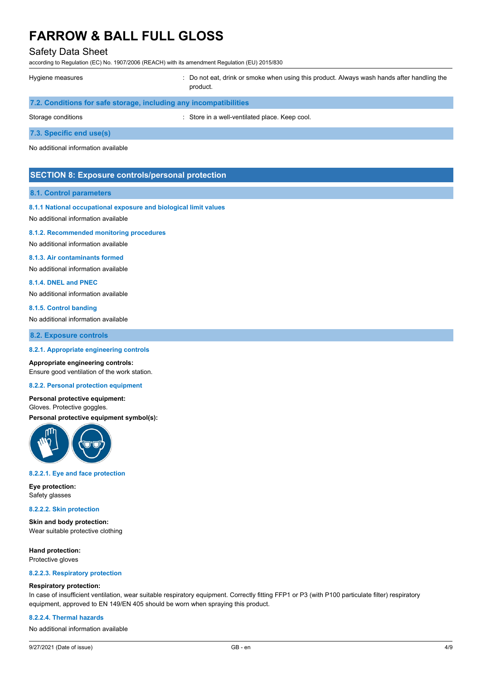## Safety Data Sheet

according to Regulation (EC) No. 1907/2006 (REACH) with its amendment Regulation (EU) 2015/830

| Hygiene measures                                                  | : Do not eat, drink or smoke when using this product. Always wash hands after handling the<br>product. |
|-------------------------------------------------------------------|--------------------------------------------------------------------------------------------------------|
| 7.2. Conditions for safe storage, including any incompatibilities |                                                                                                        |
| Storage conditions                                                | : Store in a well-ventilated place. Keep cool.                                                         |
| 7.3. Specific end use(s)                                          |                                                                                                        |

No additional information available

## **SECTION 8: Exposure controls/personal protection**

## **8.1. Control parameters**

### **8.1.1 National occupational exposure and biological limit values**

No additional information available

#### **8.1.2. Recommended monitoring procedures**

No additional information available

#### **8.1.3. Air contaminants formed**

No additional information available

#### **8.1.4. DNEL and PNEC**

No additional information available

#### **8.1.5. Control banding**

No additional information available

### **8.2. Exposure controls**

### **8.2.1. Appropriate engineering controls**

#### **Appropriate engineering controls:**

Ensure good ventilation of the work station.

### **8.2.2. Personal protection equipment**

## **Personal protective equipment:**

Gloves. Protective goggles.

# **Personal protective equipment symbol(s):**



#### **8.2.2.1. Eye and face protection**

**Eye protection:** Safety glasses

### **8.2.2.2. Skin protection**

**Skin and body protection:** Wear suitable protective clothing

**Hand protection:** Protective gloves

#### **8.2.2.3. Respiratory protection**

### **Respiratory protection:**

In case of insufficient ventilation, wear suitable respiratory equipment. Correctly fitting FFP1 or P3 (with P100 particulate filter) respiratory equipment, approved to EN 149/EN 405 should be worn when spraying this product.

### **8.2.2.4. Thermal hazards**

No additional information available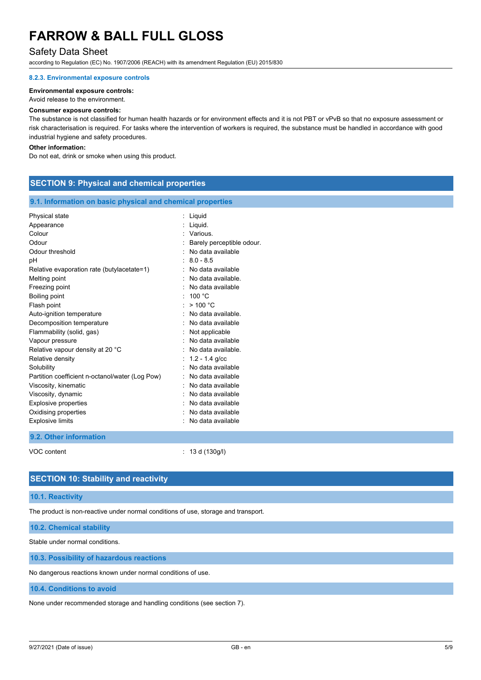# Safety Data Sheet

according to Regulation (EC) No. 1907/2006 (REACH) with its amendment Regulation (EU) 2015/830

### **8.2.3. Environmental exposure controls**

### **Environmental exposure controls:**

Avoid release to the environment.

#### **Consumer exposure controls:**

The substance is not classified for human health hazards or for environment effects and it is not PBT or vPvB so that no exposure assessment or risk characterisation is required. For tasks where the intervention of workers is required, the substance must be handled in accordance with good industrial hygiene and safety procedures.

### **Other information:**

Do not eat, drink or smoke when using this product.

## **SECTION 9: Physical and chemical properties**

### **9.1. Information on basic physical and chemical properties**

| Physical state<br>Appearance<br>Colour<br>Odour<br>Odour threshold<br>рH<br>Relative evaporation rate (butylacetate=1)<br>Melting point<br>Freezing point<br>Boiling point<br>Flash point<br>Auto-ignition temperature<br>Decomposition temperature<br>Flammability (solid, gas)<br>Vapour pressure | : Liquid<br>Liquid.<br>Various.<br>Barely perceptible odour.<br>No data available<br>$8.0 - 8.5$<br>: No data available<br>No data available.<br>No data available<br>: 100 °C<br>>100 °C<br>No data available.<br>: No data available<br>: Not applicable<br>No data available |
|-----------------------------------------------------------------------------------------------------------------------------------------------------------------------------------------------------------------------------------------------------------------------------------------------------|---------------------------------------------------------------------------------------------------------------------------------------------------------------------------------------------------------------------------------------------------------------------------------|
|                                                                                                                                                                                                                                                                                                     |                                                                                                                                                                                                                                                                                 |
|                                                                                                                                                                                                                                                                                                     |                                                                                                                                                                                                                                                                                 |
|                                                                                                                                                                                                                                                                                                     |                                                                                                                                                                                                                                                                                 |
|                                                                                                                                                                                                                                                                                                     |                                                                                                                                                                                                                                                                                 |
|                                                                                                                                                                                                                                                                                                     |                                                                                                                                                                                                                                                                                 |
|                                                                                                                                                                                                                                                                                                     |                                                                                                                                                                                                                                                                                 |
| Relative vapour density at 20 °C                                                                                                                                                                                                                                                                    | No data available.                                                                                                                                                                                                                                                              |
| Relative density                                                                                                                                                                                                                                                                                    | $: 1.2 - 1.4$ g/cc                                                                                                                                                                                                                                                              |
| Solubility                                                                                                                                                                                                                                                                                          | No data available                                                                                                                                                                                                                                                               |
| Partition coefficient n-octanol/water (Log Pow)                                                                                                                                                                                                                                                     | No data available                                                                                                                                                                                                                                                               |
| Viscosity, kinematic                                                                                                                                                                                                                                                                                | No data available                                                                                                                                                                                                                                                               |
| Viscosity, dynamic                                                                                                                                                                                                                                                                                  | No data available                                                                                                                                                                                                                                                               |
| <b>Explosive properties</b>                                                                                                                                                                                                                                                                         | No data available                                                                                                                                                                                                                                                               |
| Oxidising properties                                                                                                                                                                                                                                                                                | No data available                                                                                                                                                                                                                                                               |
| <b>Explosive limits</b>                                                                                                                                                                                                                                                                             | No data available                                                                                                                                                                                                                                                               |
| 9.2. Other information                                                                                                                                                                                                                                                                              |                                                                                                                                                                                                                                                                                 |

VOC content : 13 d (130g/l)

## **SECTION 10: Stability and reactivity**

## **10.1. Reactivity**

The product is non-reactive under normal conditions of use, storage and transport.

**10.2. Chemical stability**

Stable under normal conditions.

**10.3. Possibility of hazardous reactions**

No dangerous reactions known under normal conditions of use.

## **10.4. Conditions to avoid**

None under recommended storage and handling conditions (see section 7).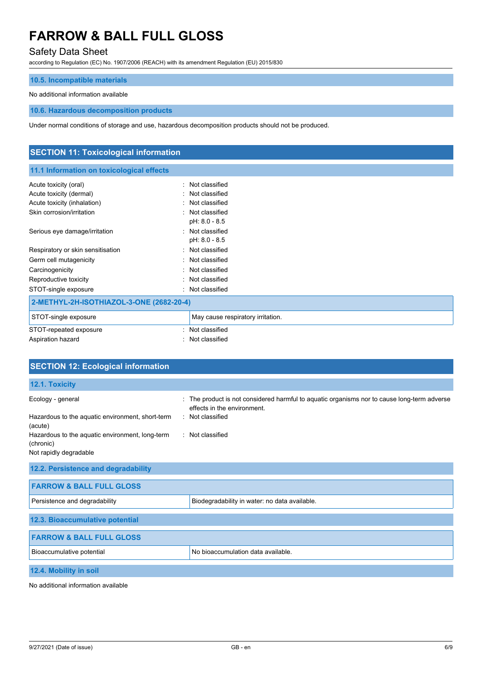# Safety Data Sheet

according to Regulation (EC) No. 1907/2006 (REACH) with its amendment Regulation (EU) 2015/830

### **10.5. Incompatible materials**

## No additional information available

### **10.6. Hazardous decomposition products**

Under normal conditions of storage and use, hazardous decomposition products should not be produced.

# **SECTION 11: Toxicological information 11.1 Information on toxicological effects** Acute toxicity (oral) **Example 2** Constant Constant Constant Constant Constant Constant Constant Constant Constant Acute toxicity (dermal) **Example 2** and the classified in the classified Acute toxicity (inhalation) **Example 2** Control of the classified Skin corrosion/irritation in the set of the set of the set of the set of the set of the set of the set of the set of the set of the set of the set of the set of the set of the set of the set of the set of the set of the se pH: 8.0 - 8.5 Serious eye damage/irritation **in the serious example of the Serious** : Not classified pH: 8.0 - 8.5 Respiratory or skin sensitisation **in the sensitism**: Not classified Germ cell mutagenicity **in the case of the control of the control of the control of the control of the control of the control of the control of the control of the control of the control of the control of the control of the** Carcinogenicity **Carcinogenicity Carcinogenicity Carcinogenicity Carcinogenicity** Reproductive toxicity **in the contract of the CO** contract in the Reproductive toxicity STOT-single exposure **in the state of the state of the STOT-single exposure** the state of the state of the state of the state of the state of the state of the state of the state of the state of the state of the state of th **2-METHYL-2H-ISOTHIAZOL-3-ONE (2682-20-4)** STOT-single exposure May cause respiratory irritation. STOT-repeated exposure in the state of the state of the STOT-repeated exposure Aspiration hazard **in the set of the set of the set of the set of the set of the set of the set of the set of the set of the set of the set of the set of the set of the set of the set of the set of the set of the set of th**

| <b>SECTION 12: Ecological information</b>                                              |                                                                                                                          |
|----------------------------------------------------------------------------------------|--------------------------------------------------------------------------------------------------------------------------|
| 12.1. Toxicity                                                                         |                                                                                                                          |
| Ecology - general<br>÷                                                                 | The product is not considered harmful to aquatic organisms nor to cause long-term adverse<br>effects in the environment. |
| Hazardous to the aquatic environment, short-term<br>(acute)                            | : Not classified                                                                                                         |
| Hazardous to the aquatic environment, long-term<br>(chronic)<br>Not rapidly degradable | : Not classified                                                                                                         |
| 12.2. Persistence and degradability                                                    |                                                                                                                          |
| <b>FARROW &amp; BALL FULL GLOSS</b>                                                    |                                                                                                                          |
| Persistence and degradability                                                          | Biodegradability in water: no data available.                                                                            |
| 12.3. Bioaccumulative potential                                                        |                                                                                                                          |
| <b>FARROW &amp; BALL FULL GLOSS</b>                                                    |                                                                                                                          |
| Bioaccumulative potential                                                              | No bioaccumulation data available.                                                                                       |
| 12.4. Mobility in soil                                                                 |                                                                                                                          |

No additional information available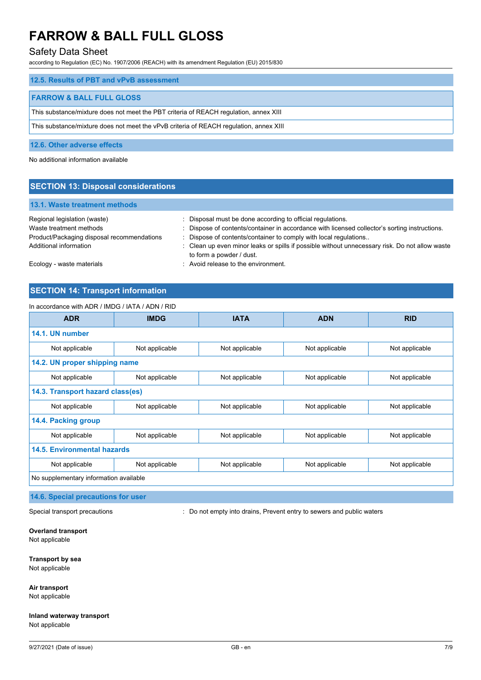# Safety Data Sheet

according to Regulation (EC) No. 1907/2006 (REACH) with its amendment Regulation (EU) 2015/830

| 12.5. Results of PBT and vPvB assessment                                               |
|----------------------------------------------------------------------------------------|
|                                                                                        |
| <b>FARROW &amp; BALL FULL GLOSS</b>                                                    |
| This substance/mixture does not meet the PBT criteria of REACH regulation, annex XIII  |
| This substance/mixture does not meet the vPvB criteria of REACH regulation, annex XIII |

### **12.6. Other adverse effects**

No additional information available

# **SECTION 13: Disposal considerations**

## **13.1. Waste treatment methods**

| Regional legislation (waste)               | Disposal must be done according to official regulations.                                                                   |
|--------------------------------------------|----------------------------------------------------------------------------------------------------------------------------|
| Waste treatment methods                    | : Dispose of contents/container in accordance with licensed collector's sorting instructions.                              |
| Product/Packaging disposal recommendations | Dispose of contents/container to comply with local regulations                                                             |
| Additional information                     | : Clean up even minor leaks or spills if possible without unnecessary risk. Do not allow waste<br>to form a powder / dust. |
| Ecology - waste materials                  | : Avoid release to the environment.                                                                                        |

# **SECTION 14: Transport information**

## In accordance with ADR / IMDG / IATA / ADN / RID

| <b>ADR</b>                             | <b>IMDG</b>    | <b>IATA</b>    | <b>ADN</b>     | <b>RID</b>     |
|----------------------------------------|----------------|----------------|----------------|----------------|
| 14.1. UN number                        |                |                |                |                |
| Not applicable                         | Not applicable | Not applicable | Not applicable | Not applicable |
| 14.2. UN proper shipping name          |                |                |                |                |
| Not applicable                         | Not applicable | Not applicable | Not applicable | Not applicable |
| 14.3. Transport hazard class(es)       |                |                |                |                |
| Not applicable                         | Not applicable | Not applicable | Not applicable | Not applicable |
| 14.4. Packing group                    |                |                |                |                |
| Not applicable                         | Not applicable | Not applicable | Not applicable | Not applicable |
| <b>14.5. Environmental hazards</b>     |                |                |                |                |
| Not applicable                         | Not applicable | Not applicable | Not applicable | Not applicable |
| No supplementary information available |                |                |                |                |

# **14.6. Special precautions for user**

Special transport precautions **interpretatal intervals** : Do not empty into drains, Prevent entry to sewers and public waters

## **Overland transport**

Not applicable

# **Transport by sea**

Not applicable

# **Air transport**

Not applicable

## **Inland waterway transport** Not applicable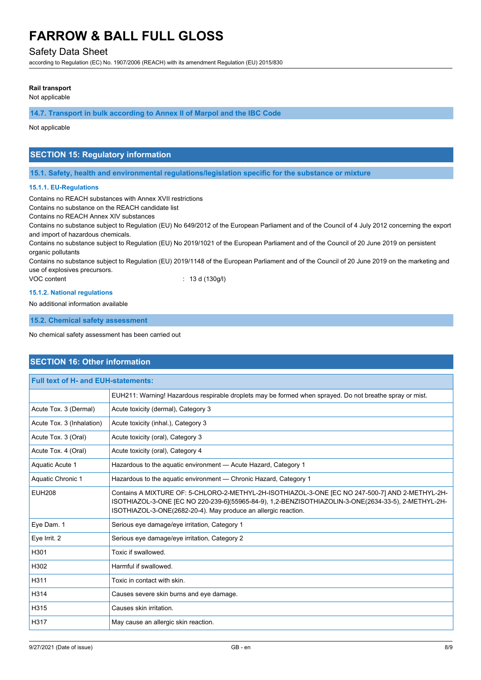## Safety Data Sheet

according to Regulation (EC) No. 1907/2006 (REACH) with its amendment Regulation (EU) 2015/830

## **Rail transport**

Not applicable

**14.7. Transport in bulk according to Annex II of Marpol and the IBC Code**

Not applicable

# **SECTION 15: Regulatory information**

**15.1. Safety, health and environmental regulations/legislation specific for the substance or mixture**

### **15.1.1. EU-Regulations**

Contains no REACH substances with Annex XVII restrictions

Contains no substance on the REACH candidate list

Contains no REACH Annex XIV substances

Contains no substance subject to Regulation (EU) No 649/2012 of the European Parliament and of the Council of 4 July 2012 concerning the export and import of hazardous chemicals.

Contains no substance subject to Regulation (EU) No 2019/1021 of the European Parliament and of the Council of 20 June 2019 on persistent organic pollutants

Contains no substance subject to Regulation (EU) 2019/1148 of the European Parliament and of the Council of 20 June 2019 on the marketing and use of explosives precursors.

VOC content : 13 d (130g/l)

### **15.1.2. National regulations**

No additional information available

**15.2. Chemical safety assessment**

No chemical safety assessment has been carried out

# **SECTION 16: Other information**

| <b>Full text of H- and EUH-statements:</b> |                                                                                                                                                                                                                                                                          |  |
|--------------------------------------------|--------------------------------------------------------------------------------------------------------------------------------------------------------------------------------------------------------------------------------------------------------------------------|--|
|                                            | EUH211: Warning! Hazardous respirable droplets may be formed when sprayed. Do not breathe spray or mist.                                                                                                                                                                 |  |
| Acute Tox. 3 (Dermal)                      | Acute toxicity (dermal), Category 3                                                                                                                                                                                                                                      |  |
| Acute Tox. 3 (Inhalation)                  | Acute toxicity (inhal.), Category 3                                                                                                                                                                                                                                      |  |
| Acute Tox. 3 (Oral)                        | Acute toxicity (oral), Category 3                                                                                                                                                                                                                                        |  |
| Acute Tox. 4 (Oral)                        | Acute toxicity (oral), Category 4                                                                                                                                                                                                                                        |  |
| Aquatic Acute 1                            | Hazardous to the aquatic environment - Acute Hazard, Category 1                                                                                                                                                                                                          |  |
| Aquatic Chronic 1                          | Hazardous to the aquatic environment - Chronic Hazard, Category 1                                                                                                                                                                                                        |  |
| <b>EUH208</b>                              | Contains A MIXTURE OF: 5-CHLORO-2-METHYL-2H-ISOTHIAZOL-3-ONE [EC NO 247-500-7] AND 2-METHYL-2H-<br>ISOTHIAZOL-3-ONE [EC NO 220-239-6](55965-84-9), 1,2-BENZISOTHIAZOLIN-3-ONE(2634-33-5), 2-METHYL-2H-<br>ISOTHIAZOL-3-ONE(2682-20-4). May produce an allergic reaction. |  |
| Eye Dam. 1                                 | Serious eye damage/eye irritation, Category 1                                                                                                                                                                                                                            |  |
| Eye Irrit. 2                               | Serious eye damage/eye irritation, Category 2                                                                                                                                                                                                                            |  |
| H301                                       | Toxic if swallowed.                                                                                                                                                                                                                                                      |  |
| H302                                       | Harmful if swallowed.                                                                                                                                                                                                                                                    |  |
| H311                                       | Toxic in contact with skin.                                                                                                                                                                                                                                              |  |
| H314                                       | Causes severe skin burns and eye damage.                                                                                                                                                                                                                                 |  |
| H315                                       | Causes skin irritation.                                                                                                                                                                                                                                                  |  |
| H317                                       | May cause an allergic skin reaction.                                                                                                                                                                                                                                     |  |